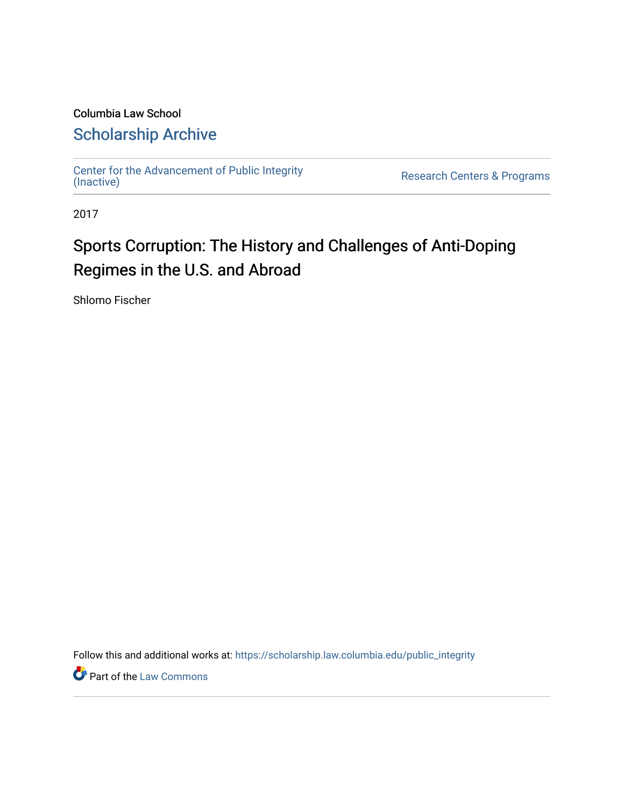## Columbia Law School [Scholarship Archive](https://scholarship.law.columbia.edu/)

[Center for the Advancement of Public Integrity](https://scholarship.law.columbia.edu/public_integrity)<br>(Inactive)

Research Centers & Programs

2017

# Sports Corruption: The History and Challenges of Anti-Doping Regimes in the U.S. and Abroad

Shlomo Fischer

Follow this and additional works at: [https://scholarship.law.columbia.edu/public\\_integrity](https://scholarship.law.columbia.edu/public_integrity?utm_source=scholarship.law.columbia.edu%2Fpublic_integrity%2F43&utm_medium=PDF&utm_campaign=PDFCoverPages)

**Part of the [Law Commons](http://network.bepress.com/hgg/discipline/578?utm_source=scholarship.law.columbia.edu%2Fpublic_integrity%2F43&utm_medium=PDF&utm_campaign=PDFCoverPages)**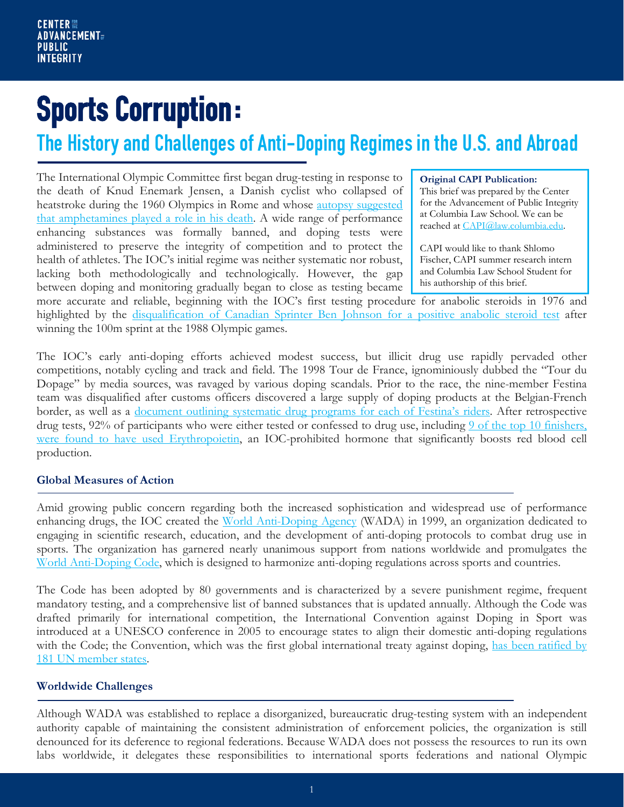**Sports Corruption:**<br>The History and Challenges of Anti-Doping Regimes in the U.S. and Abroad

The International Olympic Committee first began drug-testing in response to the death of Knud Enemark Jensen, a Danish cyclist who collapsed of heatstroke during the 1960 Olympics in Rome and whose [autopsy suggested](http://www.academia.dk/Blog/wp-content/uploads/VernerMoller_KnudEnemark.pdf)  [that amphetamines played a role in his death.](http://www.academia.dk/Blog/wp-content/uploads/VernerMoller_KnudEnemark.pdf) A wide range of performance enhancing substances was formally banned, and doping tests were administered to preserve the integrity of competition and to protect the health of athletes. The IOC's initial regime was neither systematic nor robust, lacking both methodologically and technologically. However, the gap between doping and monitoring gradually began to close as testing became

#### **Original CAPI Publication:**

This brief was prepared by the Center for the Advancement of Public Integrity at Columbia Law School. We can be reached at [CAPI@law.columbia.edu.](mailto:CAPI@law.columbia.edu)

CAPI would like to thank Shlomo Fischer, CAPI summer research intern and Columbia Law School Student for his authorship of this brief.

more accurate and reliable, beginning with the IOC's first testing procedure for anabolic steroids in 1976 and highlighted by the [disqualification of Canadian Sprinter Ben Johnson for a positive anabolic steroid test](https://www.si.com/vault/1988/10/03/106779527/the-loser) after winning the 100m sprint at the 1988 Olympic games.

The IOC's early anti-doping efforts achieved modest success, but illicit drug use rapidly pervaded other competitions, notably cycling and track and field. The 1998 Tour de France, ignominiously dubbed the "Tour du Dopage" by media sources, was ravaged by various doping scandals. Prior to the race, the nine-member Festina team was disqualified after customs officers discovered a large supply of doping products at the Belgian-French border, as well as a [document outlining systematic drug programs for each of Festina's riders.](http://www.nytimes.com/1998/07/24/sports/cycling-investigation-widens-in-tour-drug-scandal.html) After retrospective drug tests, 92% of participants who were either tested or confessed to drug use, including 9 of the top 10 finishers, [were found to have used Erythropoietin,](http://www.cyclingweekly.com/news/marco-pantani-and-jan-ullrichs-1998-tour-de-france-samples-positive-for-epo-2-27250) an IOC-prohibited hormone that significantly boosts red blood cell production.

#### **Global Measures of Action**

Amid growing public concern regarding both the increased sophistication and widespread use of performance enhancing drugs, the IOC created the [World Anti-Doping Agency](https://www.wada-ama.org/) (WADA) in 1999, an organization dedicated to engaging in scientific research, education, and the development of anti-doping protocols to combat drug use in sports. The organization has garnered nearly unanimous support from nations worldwide and promulgates the [World Anti-Doping Code,](https://www.wada-ama.org/en/what-we-do/the-code) which is designed to harmonize anti-doping regulations across sports and countries.

The Code has been adopted by 80 governments and is characterized by a severe punishment regime, frequent mandatory testing, and a comprehensive list of banned substances that is updated annually. Although the Code was drafted primarily for international competition, the International Convention against Doping in Sport was introduced at a UNESCO conference in 2005 to encourage states to align their domestic anti-doping regulations with the Code; the Convention, which was the first global international treaty against doping, has been ratified by [181 UN member states.](http://www.unesco.org/new/en/social-and-human-sciences/themes/anti-doping/international-convention-against-doping-in-sport/)

### **Worldwide Challenges**

Although WADA was established to replace a disorganized, bureaucratic drug-testing system with an independent authority capable of maintaining the consistent administration of enforcement policies, the organization is still denounced for its deference to regional federations. Because WADA does not possess the resources to run its own labs worldwide, it delegates these responsibilities to international sports federations and national Olympic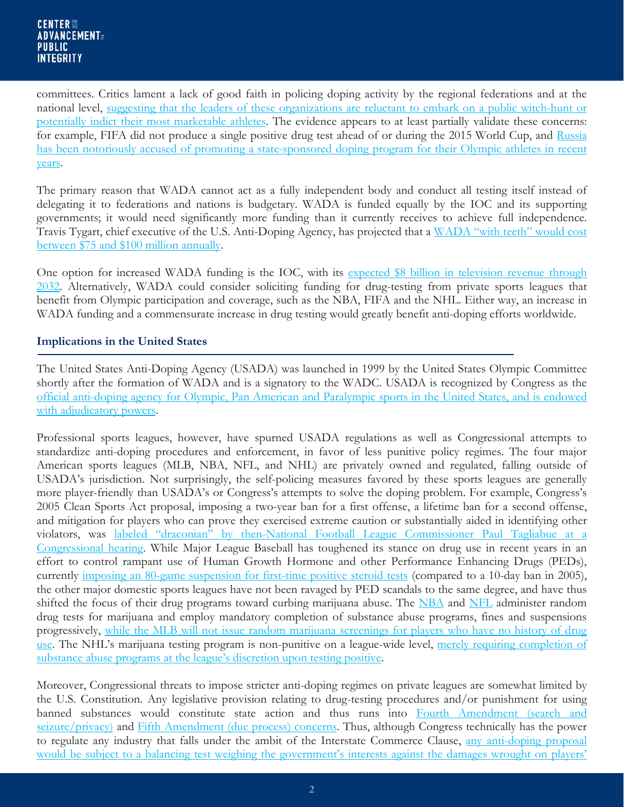committees. Critics lament a lack of good faith in policing doping activity by the regional federations and at the national level, [suggesting that the leaders of these organizations are reluctant to embark on a public witch-hunt or](https://www.wsj.com/articles/why-the-anti-doping-effort-needs-an-overhaul-1447185151)  [potentially indict their most marketable athletes.](https://www.wsj.com/articles/why-the-anti-doping-effort-needs-an-overhaul-1447185151) The evidence appears to at least partially validate these concerns: for example, FIFA did not produce a single positive drug test ahead of or during the 2015 World Cup, and [Russia](https://www.wada-ama.org/sites/default/files/resources/files/mclaren_report_part_ii_2.pdf)  has been [notoriously accused of promoting a state-sponsored doping program for their Olympic athletes in recent](https://www.wada-ama.org/sites/default/files/resources/files/mclaren_report_part_ii_2.pdf)  [years.](https://www.wada-ama.org/sites/default/files/resources/files/mclaren_report_part_ii_2.pdf)

The primary reason that WADA cannot act as a fully independent body and conduct all testing itself instead of delegating it to federations and nations is budgetary. WADA is funded equally by the IOC and its supporting governments; it would need significantly more funding than it currently receives to achieve full independence. Travis Tygart, chief executive of the U.S. Anti-Doping Agency, has projected that a WADA "with teeth" would cost [between \\$75 and \\$100 million annually.](https://www.wsj.com/articles/why-the-anti-doping-effort-needs-an-overhaul-1447185151)

One option for increased WADA funding is the IOC, with its expected \$8 billion in television revenue through [2032.](https://www.wsj.com/articles/nbc-extends-olympic-rights-through-2032-1399480516) Alternatively, WADA could consider soliciting funding for drug-testing from private sports leagues that benefit from Olympic participation and coverage, such as the NBA, FIFA and the NHL. Either way, an increase in WADA funding and a commensurate increase in drug testing would greatly benefit anti-doping efforts worldwide.

#### **Implications in the United States**

The United States Anti-Doping Agency (USADA) was launched in 1999 by the United States Olympic Committee shortly after the formation of WADA and is a signatory to the WADC. USADA is recognized by Congress as the [official anti-doping agency for Olympic, Pan American and Paralympic sports in the United States, and is endowed](https://www.usada.org/wp-content/uploads/athlete-handbook.pdf)  [with adjudicatory powers.](https://www.usada.org/wp-content/uploads/athlete-handbook.pdf)

Professional sports leagues, however, have spurned USADA regulations as well as Congressional attempts to standardize anti-doping procedures and enforcement, in favor of less punitive policy regimes. The four major American sports leagues (MLB, NBA, NFL, and NHL) are privately owned and regulated, falling outside of USADA's jurisdiction. Not surprisingly, the self-policing measures favored by these sports leagues are generally more player-friendly than USADA's or Congress's attempts to solve the doping problem. For example, Congress's 2005 Clean Sports Act proposal, imposing a two-year ban for a first offense, a lifetime ban for a second offense, and mitigation for players who can prove they exercised extreme caution or substantially aided in identifying other violators, was [labeled "draconian" by then-National Football League Commissioner Paul Tagliabue at a](http://www.spokesman.com/stories/2005/may/25/clean-sports-act-of-2005-would-dictate-two-year/)  [Congressional hearing.](http://www.spokesman.com/stories/2005/may/25/clean-sports-act-of-2005-would-dictate-two-year/) While Major League Baseball has toughened its stance on drug use in recent years in an effort to control rampant use of Human Growth Hormone and other Performance Enhancing Drugs (PEDs), currently [imposing an 80-game suspension for first-time positive steroid tests](http://www.mlb.com/pa/pdf/jda.pdf) (compared to a 10-day ban in 2005), the other major domestic sports leagues have not been ravaged by PED scandals to the same degree, and have thus shifted the focus of their drug programs toward curbing marijuana abuse. The [NBA](http://nbpa.com/wp-content/uploads/2016/02/2017-NBA-NBPA-Collective-Bargaining-Agreement.pdf) and [NFL](https://nflpaweb.blob.core.windows.net/media/Default/PDFs/Player%20Development/2015%20Policy%20and%20Program%20on%20Substances%20of%20Abuse.pdf) administer random drug tests for marijuana and employ mandatory completion of substance abuse programs, fines and suspensions progressively, [while the MLB will not issue random marijuana screenings for players who have no history of drug](http://www.mlb.com/pa/pdf/jda.pdf)  [use.](http://www.mlb.com/pa/pdf/jda.pdf) The NHL's marijuana testing program is non-punitive on a league-wide level, [merely requiring completion of](http://cdn.agilitycms.com/nhlpacom/PDF/NHL_NHLPA_2013_CBA.pdf)  [substance abuse programs at the league's discretion upon testing positive.](http://cdn.agilitycms.com/nhlpacom/PDF/NHL_NHLPA_2013_CBA.pdf)

Moreover, Congressional threats to impose stricter anti-doping regimes on private leagues are somewhat limited by the U.S. Constitution. Any legislative provision relating to drug-testing procedures and/or punishment for using banned substances would constitute state action and thus runs into [Fourth Amendment \(search and](https://www.law.cornell.edu/constitution/fourth_amendment)  [seizure/privacy\)](https://www.law.cornell.edu/constitution/fourth_amendment) and [Fifth Amendment \(due process\) concerns.](https://www.law.cornell.edu/constitution/fifth_amendment) Thus, although Congress technically has the power to regulate any industry that falls under the ambit of the Interstate Commerce Clause, [any anti-doping proposal](https://www.law.cornell.edu/supremecourt/text/489/602)  would be subject to a balancing test weighing the government's interests against the damages wrought on players'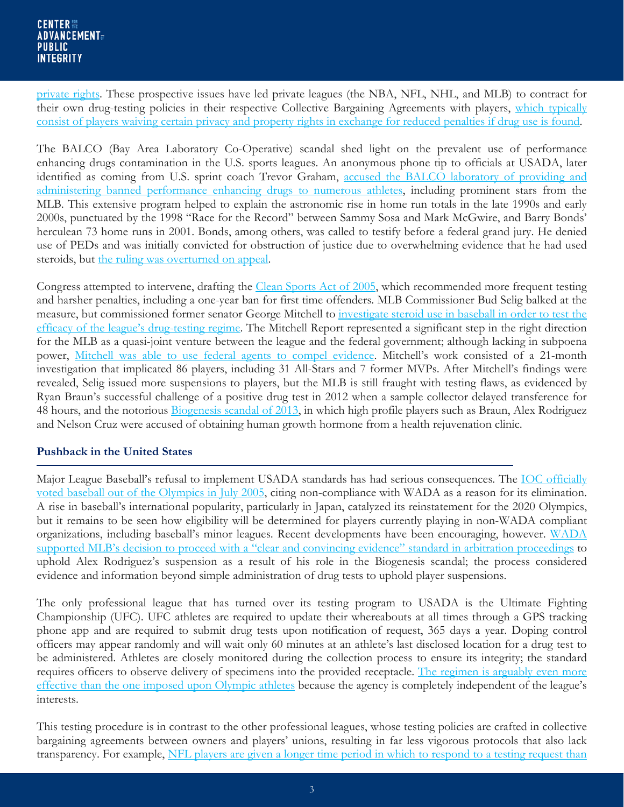[private rights.](https://www.law.cornell.edu/supremecourt/text/489/602) These prospective issues have led private leagues (the NBA, NFL, NHL, and MLB) to contract for their own drug-testing policies in their respective Collective Bargaining Agreements with players, which typically [consist of players waiving certain privacy and property rights in exchange for reduced penalties if drug use is found.](http://scholarship.law.marquette.edu/cgi/viewcontent.cgi?article=1372&context=sportslaw)

The BALCO (Bay Area Laboratory Co-Operative) scandal shed light on the prevalent use of performance enhancing drugs contamination in the U.S. sports leagues. An anonymous phone tip to officials at USADA, later identified as coming from U.S. sprint coach Trevor Graham, [accused the BALCO laboratory of providing and](https://usatoday30.usatoday.com/sports/balco-timeline.htm)  [administering banned performance enhancing drugs to numerous athletes,](https://usatoday30.usatoday.com/sports/balco-timeline.htm) including prominent stars from the MLB. This extensive program helped to explain the astronomic rise in home run totals in the late 1990s and early 2000s, punctuated by the 1998 "Race for the Record" between Sammy Sosa and Mark McGwire, and Barry Bonds' herculean 73 home runs in 2001. Bonds, among others, was called to testify before a federal grand jury. He denied use of PEDs and was initially convicted for obstruction of justice due to overwhelming evidence that he had used steroids, but [the ruling was overturned on appeal.](http://cdn.ca9.uscourts.gov/datastore/opinions/2015/04/22/11-10669.pdf)

Congress attempted to intervene, drafting the [Clean Sports Act of 2005,](https://www.govtrack.us/congress/bills/109/s1114) which recommended more frequent testing and harsher penalties, including a one-year ban for first time offenders. MLB Commissioner Bud Selig balked at the measure, but commissioned former senator George Mitchell to [investigate steroid use in baseball in order to test the](http://files.mlb.com/summary.pdf)  [efficacy of the league's drug-testing regime.](http://files.mlb.com/summary.pdf) The Mitchell Report represented a significant step in the right direction for the MLB as a quasi-joint venture between the league and the federal government; although lacking in subpoena power, [Mitchell was able to use federal agents to compel evidence.](http://www.espn.com/mlb/news/story?id=3153509) Mitchell's work consisted of a 21-month investigation that implicated 86 players, including 31 All-Stars and 7 former MVPs. After Mitchell's findings were revealed, Selig issued more suspensions to players, but the MLB is still fraught with testing flaws, as evidenced by Ryan Braun's successful challenge of a positive drug test in 2012 when a sample collector delayed transference for 48 hours, and the notorious [Biogenesis scandal of 2013,](https://www.theguardian.com/sport/2013/aug/05/alex-rodriguez-suspended-mlb-peds-drugs) in which high profile players such as Braun, Alex Rodriguez and Nelson Cruz were accused of obtaining human growth hormone from a health rejuvenation clinic.

### **Pushback in the United States**

Major League Baseball's refusal to implement USADA standards has had serious consequences. The [IOC officially](http://www.nytimes.com/2005/07/09/sports/othersports/ioc-drops-baseball-and-softball-in-2012.html?_r=0)  [voted baseball out of the Olympics in July 2005,](http://www.nytimes.com/2005/07/09/sports/othersports/ioc-drops-baseball-and-softball-in-2012.html?_r=0) citing non-compliance with WADA as a reason for its elimination. A rise in baseball's international popularity, particularly in Japan, catalyzed its reinstatement for the 2020 Olympics, but it remains to be seen how eligibility will be determined for players currently playing in non-WADA compliant organizations, including baseball's minor leagues. Recent developments have been encouraging, however. [WADA](https://www.wada-ama.org/en/media/news/2014-01/wada-content-with-process-that-led-to-alex-rodriguez-doping-ban)  supported MLB's decision to proceed with a "clear and [convincing evidence" standard in arbitration proceedings](https://www.wada-ama.org/en/media/news/2014-01/wada-content-with-process-that-led-to-alex-rodriguez-doping-ban) to uphold Alex Rodriguez's suspension as a result of his role in the Biogenesis scandal; the process considered evidence and information beyond simple administration of drug tests to uphold player suspensions.

The only professional league that has turned over its testing program to USADA is the Ultimate Fighting Championship (UFC). UFC athletes are required to update their whereabouts at all times through a GPS tracking phone app and are required to submit drug tests upon notification of request, 365 days a year. Doping control officers may appear randomly and will wait only 60 minutes at an athlete's last disclosed location for a drug test to be administered. Athletes are closely monitored during the collection process to ensure its integrity; the standard requires officers to observe delivery of specimens into the provided receptacle. The regimen is arguably even more [effective than the one imposed upon Olympic athletes](http://www.cnn.com/2017/02/05/health/performance-enhancing-drugs-nfl-investigative-explainer/index.html) because the agency is completely independent of the league's interests.

This testing procedure is in contrast to the other professional leagues, whose testing policies are crafted in collective bargaining agreements between owners and players' unions, resulting in far less vigorous protocols that also lack transparency. For example, NFL players are given a longer time period in which to respond to a testing request than